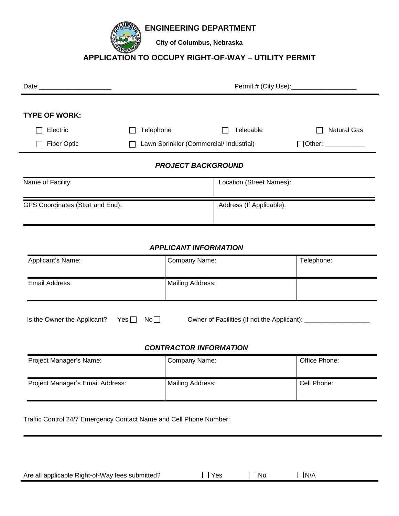**ENGINEERING DEPARTMENT**

**City of Columbus, Nebraska**

## **APPLICATION TO OCCUPY RIGHT-OF-WAY – UTILITY PERMIT**

| Date: 2008                       |           |                                         |                    |
|----------------------------------|-----------|-----------------------------------------|--------------------|
|                                  |           |                                         |                    |
| <b>TYPE OF WORK:</b>             |           |                                         |                    |
| Electric                         | Telephone | Telecable                               | <b>Natural Gas</b> |
| <b>Fiber Optic</b>               |           | Lawn Sprinkler (Commercial/ Industrial) | $\Box$ Other:      |
|                                  |           | <b>PROJECT BACKGROUND</b>               |                    |
| Name of Facility:                |           | Location (Street Names):                |                    |
| GPS Coordinates (Start and End): |           | Address (If Applicable):                |                    |

### *APPLICANT INFORMATION*

| Applicant's Name: | Company Name:           | Telephone: |
|-------------------|-------------------------|------------|
| Email Address:    | <b>Mailing Address:</b> |            |

| Is the Owner the Applicant? Yes $\Box$ No $\Box$ |  | Owner of Facilities (if not the Applicant): |
|--------------------------------------------------|--|---------------------------------------------|
|                                                  |  |                                             |

#### *CONTRACTOR INFORMATION*

| Project Manager's Name:          | Company Name:    | Office Phone: |
|----------------------------------|------------------|---------------|
| Project Manager's Email Address: | Mailing Address: | Cell Phone:   |

Traffic Control 24/7 Emergency Contact Name and Cell Phone Number:

| Are all applicable Right-of-Way fees submitted? | $\exists$ Yes | $\Box$ No | $\Box$ N/A |
|-------------------------------------------------|---------------|-----------|------------|
|-------------------------------------------------|---------------|-----------|------------|